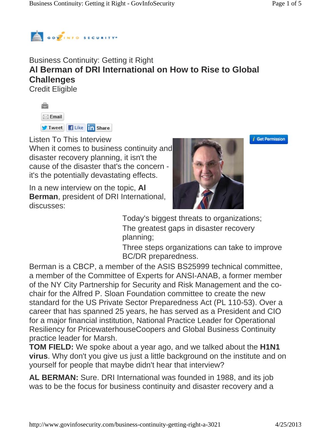

## Business Continuity: Getting it Right **Al Berman of DRI International on How to Rise to Global Challenges** Credit Eligible

| $\boxtimes$ Email    |  |  |
|----------------------|--|--|
| Tweet Filke in Share |  |  |

Listen To This Interview

When it comes to business continuity and disaster recovery planning, it isn't the cause of the disaster that's the concern it's the potentially devastating effects.

In a new interview on the topic, **Al Berman**, president of DRI International, discusses:



*i* Get Permission

Today's biggest threats to organizations; The greatest gaps in disaster recovery planning;

Three steps organizations can take to improve BC/DR preparedness.

Berman is a CBCP, a member of the ASIS BS25999 technical committee, a member of the Committee of Experts for ANSI-ANAB, a former member of the NY City Partnership for Security and Risk Management and the cochair for the Alfred P. Sloan Foundation committee to create the new standard for the US Private Sector Preparedness Act (PL 110-53). Over a career that has spanned 25 years, he has served as a President and CIO for a major financial institution, National Practice Leader for Operational Resiliency for PricewaterhouseCoopers and Global Business Continuity practice leader for Marsh.

**TOM FIELD:** We spoke about a year ago, and we talked about the **H1N1 virus**. Why don't you give us just a little background on the institute and on yourself for people that maybe didn't hear that interview?

**AL BERMAN:** Sure. DRI International was founded in 1988, and its job was to be the focus for business continuity and disaster recovery and a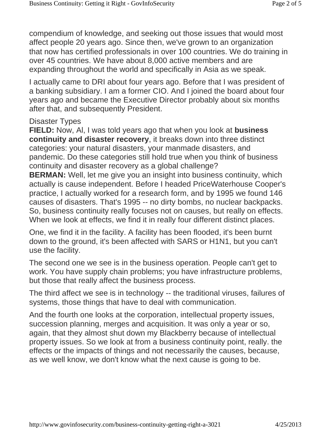compendium of knowledge, and seeking out those issues that would most affect people 20 years ago. Since then, we've grown to an organization that now has certified professionals in over 100 countries. We do training in over 45 countries. We have about 8,000 active members and are expanding throughout the world and specifically in Asia as we speak.

I actually came to DRI about four years ago. Before that I was president of a banking subsidiary. I am a former CIO. And I joined the board about four years ago and became the Executive Director probably about six months after that, and subsequently President.

## Disaster Types

**FIELD:** Now, Al, I was told years ago that when you look at **business continuity and disaster recovery**, it breaks down into three distinct categories: your natural disasters, your manmade disasters, and pandemic. Do these categories still hold true when you think of business continuity and disaster recovery as a global challenge?

**BERMAN:** Well, let me give you an insight into business continuity, which actually is cause independent. Before I headed PriceWaterhouse Cooper's practice, I actually worked for a research form, and by 1995 we found 146 causes of disasters. That's 1995 -- no dirty bombs, no nuclear backpacks. So, business continuity really focuses not on causes, but really on effects. When we look at effects, we find it in really four different distinct places.

One, we find it in the facility. A facility has been flooded, it's been burnt down to the ground, it's been affected with SARS or H1N1, but you can't use the facility.

The second one we see is in the business operation. People can't get to work. You have supply chain problems; you have infrastructure problems, but those that really affect the business process.

The third affect we see is in technology -- the traditional viruses, failures of systems, those things that have to deal with communication.

And the fourth one looks at the corporation, intellectual property issues, succession planning, merges and acquisition. It was only a year or so, again, that they almost shut down my Blackberry because of intellectual property issues. So we look at from a business continuity point, really. the effects or the impacts of things and not necessarily the causes, because, as we well know, we don't know what the next cause is going to be.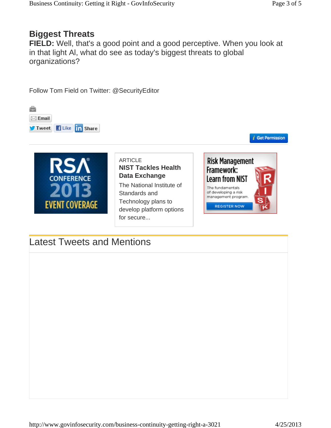## **Biggest Threats**

**FIELD:** Well, that's a good point and a good perceptive. When you look at in that light Al, what do see as today's biggest threats to global organizations?



for secure...

Latest Tweets and Mentions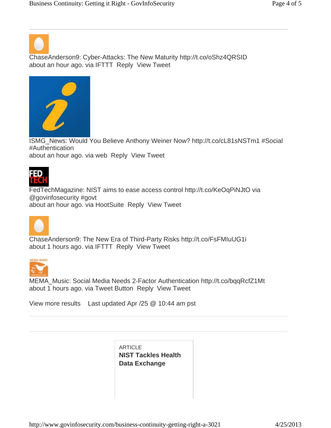ChaseAnderson9: Cyber-Attacks: The New Maturity http://t.co/oShz4QRSID about an hour ago. via IFTTT Reply View Tweet



ISMG\_News: Would You Believe Anthony Weiner Now? http://t.co/cL81sNSTm1 #Social #Authentication about an hour ago. via web Reply View Tweet



FedTechMagazine: NIST aims to ease access control http://t.co/KeOqPiNJtO via @govinfosecurity #govt about an hour ago. via HootSuite Reply View Tweet



ChaseAnderson9: The New Era of Third-Party Risks http://t.co/FsFMIuUG1i about 1 hours ago. via IFTTT Reply View Tweet



MEMA\_Music: Social Media Needs 2-Factor Authentication http://t.co/bqqRcfZ1Mt about 1 hours ago. via Tweet Button Reply View Tweet

View more results Last updated Apr /25 @ 10:44 am pst

**ARTICLE NIST Tackles Health Data Exchange**